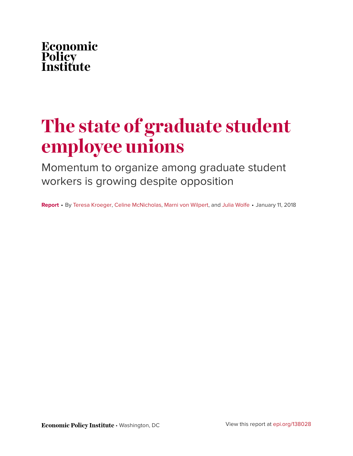

# **The state of graduate student employee unions**

Momentum to organize among graduate student workers is growing despite opposition

**Report** • By [Teresa Kroeger,](http://www.epi.org/people/teresa-kroeger/) [Celine McNicholas](http://www.epi.org/people/celine-mcnicholas/), [Marni von Wilpert,](http://www.epi.org/people/marni-von-wilpert/) and [Julia Wolfe](http://www.epi.org/people/julia-wolfe/) • January 11, 2018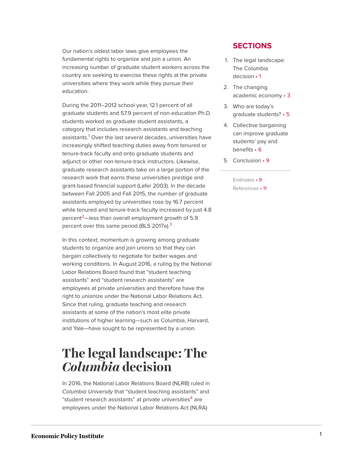Our nation's oldest labor laws give employees the fundamental rights to organize and join a union. An increasing number of graduate student workers across the country are seeking to exercise these rights at the private universities where they work while they pursue their education.

<span id="page-1-1"></span>During the 2011–2012 school year, 12.1 percent of all graduate students and 57.9 percent of non-education Ph.D. students worked as graduate student assistants, a category that includes research assistants and teaching assistants.<sup>[1](#page-9-2)</sup> Over the last several decades, universities have increasingly shifted teaching duties away from tenured or tenure-track faculty and onto graduate students and adjunct or other non-tenure-track instructors. Likewise, graduate research assistants take on a large portion of the research work that earns these universities prestige and grant-based financial support (Lafer 2003). In the decade between Fall 2005 and Fall 2015, the number of graduate assistants employed by universities rose by 16.7 percent while tenured and tenure-track faculty increased by just 4.8 percent<sup>[2](#page-9-3)</sup>—less than overall employment growth of 5.9 percent over this same period (BLS 2017a).<sup>[3](#page-9-4)</sup>

<span id="page-1-3"></span><span id="page-1-2"></span>In this context, momentum is growing among graduate students to organize and join unions so that they can bargain collectively to negotiate for better wages and working conditions. In August 2016, a ruling by the National Labor Relations Board found that "student teaching assistants" and "student research assistants" are employees at private universities and therefore have the right to unionize under the National Labor Relations Act. Since that ruling, graduate teaching and research assistants at some of the nation's most elite private institutions of higher learning—such as Columbia, Harvard, and Yale—have sought to be represented by a union.

### <span id="page-1-0"></span>**The legal landscape: The** *Columbia* **decision**

<span id="page-1-4"></span>In 2016, the National Labor Relations Board (NLRB) ruled in *Columbia University* that "student teaching assistants" and "student research assistants" at private universities<sup>[4](#page-10-0)</sup> are employees under the National Labor Relations Act (NLRA)

#### **SECTIONS**

- 1. [The legal landscape:](#page-1-0) [The Columbia](#page-1-0) [decision](#page-1-0) • 1
- 2. [The changing](#page-3-0) [academic](#page-3-0) economy • 3
- 3. [Who are today's](#page-5-0) graduate [students?](#page-5-0) • 5
- 4. [Collective bargaining](#page-6-0) [can improve graduate](#page-6-0) [students' pay and](#page-6-0) [benefits](#page-6-0) • 6
- 5. [Conclusion](#page-9-0) 9
	- [Endnotes](#page-9-1) 9 [References](#page-11-0) • 11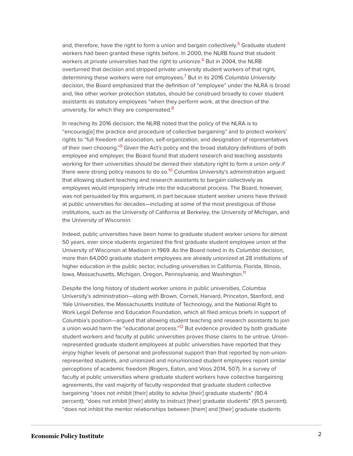<span id="page-2-2"></span><span id="page-2-1"></span><span id="page-2-0"></span>and, therefore, have the right to form a union and bargain collectively.<sup>[5](#page-10-1)</sup> Graduate student workers had been granted these rights before. In 2000, the NLRB found that student workers at private universities had the right to unionize.<sup>[6](#page-10-2)</sup> But in 2004, the NLRB overturned that decision and stripped private university student workers of that right, determining these workers were not employees.[7](#page-10-3) But in its 2016 *Columbia University* decision, the Board emphasized that the definition of "employee" under the NLRA is broad and, like other worker protection statutes, should be construed broadly to cover student assistants as statutory employees "when they perform work, at the direction of the university, for which they are compensated.<sup>[8](#page-10-4)</sup>

<span id="page-2-5"></span><span id="page-2-4"></span><span id="page-2-3"></span>In reaching its 2016 decision, the NLRB noted that the policy of the NLRA is to "encourag[e] the practice and procedure of collective bargaining" and to protect workers' rights to "full freedom of association, self-organization, and designation of representatives of their own choosing."<sup>[9](#page-10-5)</sup> Given the Act's policy and the broad statutory definitions of both employee and employer, the Board found that student research and teaching assistants working for their universities should be denied their statutory right to form a union *only if* there were strong policy reasons to do so.<sup>[10](#page-10-6)</sup> Columbia University's administration argued that allowing student teaching and research assistants to bargain collectively as employees would improperly intrude into the educational process. The Board, however, was not persuaded by this argument, in part because student worker unions have thrived at public universities for decades—including at some of the most prestigious of those institutions, such as the University of California at Berkeley, the University of Michigan, and the University of Wisconsin.

Indeed, public universities have been home to graduate student worker unions for almost 50 years, ever since students organized the first graduate student employee union at the University of Wisconsin at Madison in 1969. As the Board noted in its *Columbia* decision, more than 64,000 graduate student employees are already unionized at 28 institutions of higher education in the public sector, including universities in California, Florida, Illinois, Iowa, Massachusetts, Michigan, Oregon, Pennsylvania, and Washington.<sup>[11](#page-10-7)</sup>

<span id="page-2-7"></span><span id="page-2-6"></span>Despite the long history of student worker unions in public universities, Columbia University's administration—along with Brown, Cornell, Harvard, Princeton, Stanford, and Yale Universities, the Massachusetts Institute of Technology, and the National Right to Work Legal Defense and Education Foundation, which all filed amicus briefs in support of Columbia's position—argued that allowing student teaching and research assistants to join a union would harm the "educational process."<sup>[12](#page-10-8)</sup> But evidence provided by both graduate student workers and faculty at public universities proves those claims to be untrue. Unionrepresented graduate student employees at public universities have reported that they enjoy higher levels of personal and professional support than that reported by non-unionrepresented students, and unionized and nonunionized student employees report similar perceptions of academic freedom (Rogers, Eaton, and Voos 2014, 507). In a survey of faculty at public universities where graduate student workers have collective bargaining agreements, the vast majority of faculty responded that graduate student collective bargaining "does not inhibit [their] ability to advise [their] graduate students" (90.4 percent); "does not inhibit [their] ability to instruct [their] graduate students" (91.5 percent); "does not inhibit the mentor relationships between [them] and [their] graduate students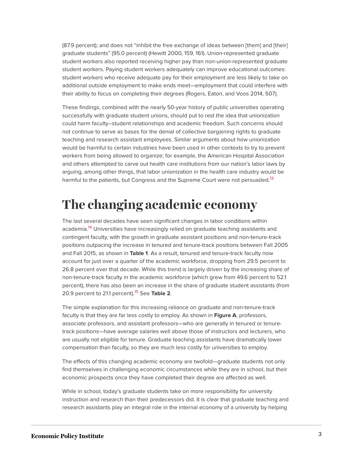(87.9 percent); and does not "inhibit the free exchange of ideas between [them] and [their] graduate students" (95.0 percent) (Hewitt 2000, 159, 161). Union-represented graduate student workers also reported receiving higher pay than non-union-represented graduate student workers. Paying student workers adequately can improve educational outcomes: student workers who receive adequate pay for their employment are less likely to take on additional outside employment to make ends meet—employment that could interfere with their ability to focus on completing their degrees (Rogers, Eaton, and Voos 2014, 507).

These findings, combined with the nearly 50-year history of public universities operating successfully with graduate student unions, should put to rest the idea that unionization could harm faculty–student relationships and academic freedom. Such concerns should not continue to serve as bases for the denial of collective bargaining rights to graduate teaching and research assistant employees. Similar arguments about how unionization would be harmful to certain industries have been used in other contexts to try to prevent workers from being allowed to organize; for example, the American Hospital Association and others attempted to carve out health care institutions from our nation's labor laws by arguing, among other things, that labor unionization in the health care industry would be harmful to the patients, but Congress and the Supreme Court were not persuaded.<sup>[13](#page-10-9)</sup>

### <span id="page-3-1"></span><span id="page-3-0"></span>**The changing academic economy**

<span id="page-3-2"></span>The last several decades have seen significant changes in labor conditions within academia.<sup>[14](#page-10-10)</sup> Universities have increasingly relied on graduate teaching assistants and contingent faculty, with the growth in graduate assistant positions and non-tenure-track positions outpacing the increase in tenured and tenure-track positions between Fall 2005 and Fall 2015, as shown in **Table 1**. As a result, tenured and tenure-track faculty now account for just over a quarter of the academic workforce, dropping from 29.5 percent to 26.8 percent over that decade. While this trend is largely driven by the increasing share of non-tenure-track faculty in the academic workforce (which grew from 49.6 percent to 52.1 percent), there has also been an increase in the share of graduate student assistants (from 20.9 percent to 21.1 percent).[15](#page-10-11) See **Table 2**.

<span id="page-3-3"></span>The simple explanation for this increasing reliance on graduate and non-tenure-track faculty is that they are far less costly to employ. As shown in **Figure A**, professors, associate professors, and assistant professors—who are generally in tenured or tenuretrack positions—have average salaries well above those of instructors and lecturers, who are usually not eligible for tenure. Graduate teaching assistants have dramatically lower compensation than faculty, so they are much less costly for universities to employ.

The effects of this changing academic economy are twofold—graduate students not only find themselves in challenging economic circumstances while they are in school, but their economic prospects once they have completed their degree are affected as well.

While in school, today's graduate students take on more responsibility for university instruction and research than their predecessors did. It is clear that graduate teaching and research assistants play an integral role in the internal economy of a university by helping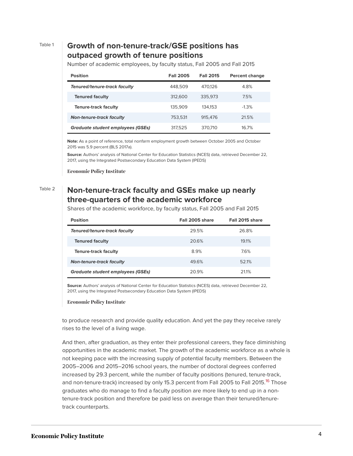#### Table 1 **Growth of non-tenure-track/GSE positions has outpaced growth of tenure positions**

Number of academic employees, by faculty status, Fall 2005 and Fall 2015

| <b>Position</b>                          | <b>Fall 2005</b> | <b>Fall 2015</b> | <b>Percent change</b> |
|------------------------------------------|------------------|------------------|-----------------------|
| Tenured/tenure-track faculty             | 448,509          | 470.126          | 4.8%                  |
| <b>Tenured faculty</b>                   | 312,600          | 335.973          | 7.5%                  |
| <b>Tenure-track faculty</b>              | 135,909          | 134.153          | $-1.3%$               |
| <b>Non-tenure-track faculty</b>          | 753.531          | 915.476          | 21.5%                 |
| <b>Graduate student employees (GSEs)</b> | 317.525          | 370,710          | 16.7%                 |

**Note:** As a point of reference, total nonfarm employment growth between October 2005 and October 2015 was 5.9 percent (BLS 2017a).

**Source:** Authors' analysis of National Center for Education Statistics (NCES) data, retrieved December 22, 2017, using the Integrated Postsecondary Education Data System (IPEDS)

**Economic Policy Institute** 

### Table 2 **Non-tenure-track faculty and GSEs make up nearly three-quarters of the academic workforce**

Shares of the academic workforce, by faculty status, Fall 2005 and Fall 2015

| <b>Position</b>                          | Fall 2005 share | Fall 2015 share |
|------------------------------------------|-----------------|-----------------|
| Tenured/tenure-track faculty             | 29.5%           | 26.8%           |
| <b>Tenured faculty</b>                   | 20.6%           | 19.1%           |
| <b>Tenure-track faculty</b>              | 8.9%            | 7.6%            |
| <b>Non-tenure-track faculty</b>          | 49.6%           | 52.1%           |
| <b>Graduate student employees (GSEs)</b> | 20.9%           | 21.1%           |

**Source:** Authors' analysis of National Center for Education Statistics (NCES) data, retrieved December 22, 2017, using the Integrated Postsecondary Education Data System (IPEDS)

#### **Economic Policy Institute**

to produce research and provide quality education. And yet the pay they receive rarely rises to the level of a living wage.

<span id="page-4-0"></span>And then, after graduation, as they enter their professional careers, they face diminishing opportunities in the academic market. The growth of the academic workforce as a whole is not keeping pace with the increasing supply of potential faculty members. Between the 2005–2006 and 2015–2016 school years, the number of doctoral degrees conferred increased by 29.3 percent, while the number of faculty positions (tenured, tenure-track, and non-tenure-track) increased by only 15.3 percent from Fall 2005 to Fall 2015.<sup>[16](#page-10-12)</sup> Those graduates who do manage to find a faculty position are more likely to end up in a nontenure-track position and therefore be paid less on average than their tenured/tenuretrack counterparts.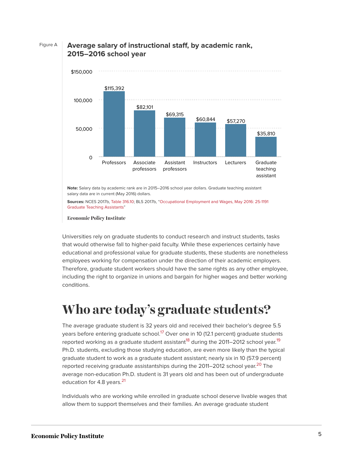

### Figure A **Average salary of instructional staff, by academic rank, 2015–2016 school year**

**Note:** Salary data by academic rank are in 2015–2016 school year dollars. Graduate teaching assistant salary data are in current (May 2016) dollars.

**Sources:** NCES 2017b, [Table 316.10](https://nces.ed.gov/programs/digest/d16/tables/dt16_316.10.asp); BLS 2017b, ["Occupational Employment and Wages, May 2016: 25-1191](https://www.bls.gov/oes/current/oes251191.htm) [Graduate Teaching Assistants"](https://www.bls.gov/oes/current/oes251191.htm)

**Economic Policy Institute** 

Universities rely on graduate students to conduct research and instruct students, tasks that would otherwise fall to higher-paid faculty. While these experiences certainly have educational and professional value for graduate students, these students are nonetheless employees working for compensation under the direction of their academic employers. Therefore, graduate student workers should have the same rights as any other employee, including the right to organize in unions and bargain for higher wages and better working conditions.

## <span id="page-5-0"></span>**Who are today's graduate students?**

<span id="page-5-2"></span><span id="page-5-1"></span>The average graduate student is 32 years old and received their bachelor's degree 5.5 years before entering graduate school.<sup>[17](#page-10-13)</sup> Over one in 10 (12.1 percent) graduate students reported working as a graduate student assistant<sup>[18](#page-10-14)</sup> during the 2011–2012 school year.<sup>[19](#page-10-15)</sup> Ph.D. students, excluding those studying education, are even more likely than the typical graduate student to work as a graduate student assistant; nearly six in 10 (57.9 percent) reported receiving graduate assistantships during the [20](#page-10-16)11–2012 school year.<sup>20</sup> The average non-education Ph.D. student is 31 years old and has been out of undergraduate education for 4.8 years.<sup>[21](#page-10-17)</sup>

<span id="page-5-4"></span><span id="page-5-3"></span>Individuals who are working while enrolled in graduate school deserve livable wages that allow them to support themselves and their families. An average graduate student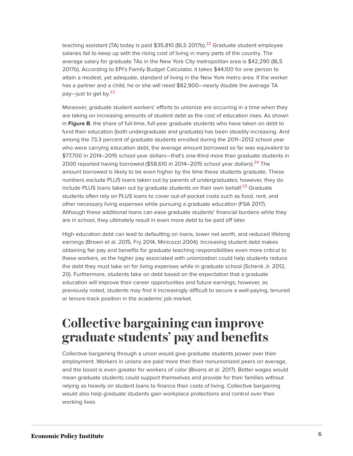<span id="page-6-1"></span>teaching assistant (TA) today is paid \$35,810 (BLS 2017b).<sup>[22](#page-10-18)</sup> Graduate student employee salaries fail to keep up with the rising cost of living in many parts of the country. The average salary for graduate TAs in the New York City metropolitan area is \$42,290 (BLS 2017b). According to EPI's Family Budget Calculator, it takes \$44,100 for one person to attain a modest, yet adequate, standard of living in the New York metro area. If the worker has a partner and a child, he or she will need \$82,900—nearly double the average TA pay—just to get by.<sup>[23](#page-10-19)</sup>

<span id="page-6-3"></span><span id="page-6-2"></span>Moreover, graduate student workers' efforts to unionize are occurring in a time when they are taking on increasing amounts of student debt as the cost of education rises. As shown in **Figure B**, the share of full-time, full-year graduate students who have taken on debt to fund their education (both undergraduate and graduate) has been steadily increasing. And among the 73.3 percent of graduate students enrolled during the 2011–2012 school year who were carrying education debt, the average amount borrowed so far was equivalent to \$77,700 in 2014–2015 school year dollars—that's one-third more than graduate students in 2000 reported having borrowed (\$58,610 in 2014–2015 school year dollars).<sup>[24](#page-11-1)</sup> The amount borrowed is likely to be even higher by the time these students graduate. These numbers exclude PLUS loans taken out by parents of undergraduates; however, they do include PLUS loans taken out by graduate students on their own behalf.<sup>[25](#page-11-2)</sup> Graduate students often rely on PLUS loans to cover out-of-pocket costs such as food, rent, and other necessary living expenses while pursuing a graduate education (FSA 2017). Although these additional loans can ease graduate students' financial burdens while they are in school, they ultimately result in even more debt to be paid off later.

<span id="page-6-4"></span>High education debt can lead to defaulting on loans, lower net worth, and reduced lifelong earnings (Brown et al. 2015, Fry 2014, Minicozzi 2004). Increasing student debt makes obtaining fair pay and benefits for graduate teaching responsibilities even more critical to these workers, as the higher pay associated with unionization could help students reduce the debt they must take on for living expenses while in graduate school (Schenk Jr. 2012, 20). Furthermore, students take on debt based on the expectation that a graduate education will improve their career opportunities and future earnings; however, as previously noted, students may find it increasingly difficult to secure a well-paying, tenured or tenure-track position in the academic job market.

### <span id="page-6-0"></span>**Collective bargaining can improve graduate students' pay and benefits**

Collective bargaining through a union would give graduate students power over their employment. Workers in unions are paid more than their nonunionized peers on average, and the boost is even greater for workers of color (Bivens et al. 2017). Better wages would mean graduate students could support themselves and provide for their families without relying as heavily on student loans to finance their costs of living. Collective bargaining would also help graduate students gain workplace protections and control over their working lives.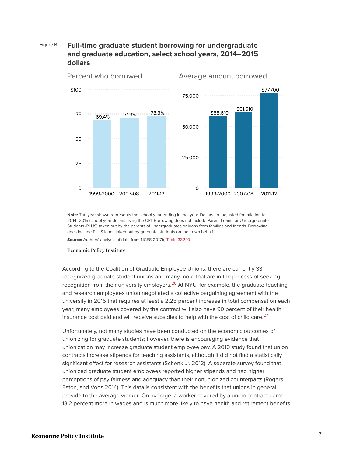



**Note:** The year shown represents the school year ending in that year. Dollars are adjusted for inflation to 2014–2015 school year dollars using the CPI. Borrowing does not include Parent Loans for Undergraduate Students (PLUS) taken out by the parents of undergraduates or loans from families and friends. Borrowing does include PLUS loans taken out by graduate students on their own behalf.

**Source:** Authors' analysis of data from NCES 2017b, [Table 332.10](https://nces.ed.gov/programs/digest/d15/tables/dt15_332.10.asp)

#### **Economic Policy Institute**

<span id="page-7-0"></span>According to the Coalition of Graduate Employee Unions, there are currently 33 recognized graduate student unions and many more that are in the process of seeking recognition from their university employers.<sup>[26](#page-11-3)</sup> At NYU, for example, the graduate teaching and research employees union negotiated a collective bargaining agreement with the university in 2015 that requires at least a 2.25 percent increase in total compensation each year; many employees covered by the contract will also have 90 percent of their health insurance cost paid and will receive subsidies to help with the cost of child care. $^{27}$  $^{27}$  $^{27}$ 

<span id="page-7-1"></span>Unfortunately, not many studies have been conducted on the economic outcomes of unionizing for graduate students; however, there is encouraging evidence that unionization may increase graduate student employee pay. A 2010 study found that union contracts increase stipends for teaching assistants, although it did not find a statistically significant effect for research assistants (Schenk Jr. 2012). A separate survey found that unionized graduate student employees reported higher stipends and had higher perceptions of pay fairness and adequacy than their nonunionized counterparts (Rogers, Eaton, and Voos 2014). This data is consistent with the benefits that unions in general provide to the average worker: On average, a worker covered by a union contract earns 13.2 percent more in wages and is much more likely to have health and retirement benefits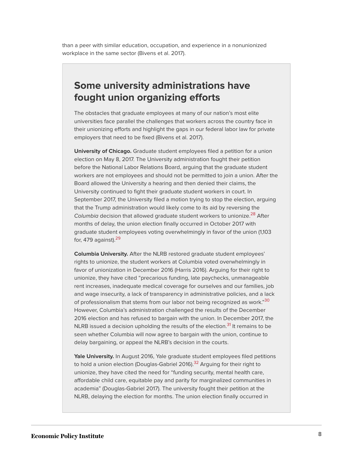than a peer with similar education, occupation, and experience in a nonunionized workplace in the same sector (Bivens et al. 2017).

### **Some university administrations have fought union organizing efforts**

The obstacles that graduate employees at many of our nation's most elite universities face parallel the challenges that workers across the country face in their unionizing efforts and highlight the gaps in our federal labor law for private employers that need to be fixed (Bivens et al. 2017).

**University of Chicago.** Graduate student employees filed a petition for a union election on May 8, 2017. The University administration fought their petition before the National Labor Relations Board, arguing that the graduate student workers are not employees and should not be permitted to join a union. After the Board allowed the University a hearing and then denied their claims, the University continued to fight their graduate student workers in court. In September 2017, the University filed a motion trying to stop the election, arguing that the Trump administration would likely come to its aid by reversing the *Columbia* decision that allowed graduate student workers to unionize. [28](#page-11-5) After months of delay, the union election finally occurred in October 2017 with graduate student employees voting overwhelmingly in favor of the union (1,103 for, 479 against). $29$ 

<span id="page-8-2"></span><span id="page-8-1"></span><span id="page-8-0"></span>**Columbia University.** After the NLRB restored graduate student employees' rights to unionize, the student workers at Columbia voted overwhelmingly in favor of unionization in December 2016 (Harris 2016). Arguing for their right to unionize, they have cited "precarious funding, late paychecks, unmanageable rent increases, inadequate medical coverage for ourselves and our families, job and wage insecurity, a lack of transparency in administrative policies, and a lack of professionalism that stems from our labor not being recognized as work." [30](#page-11-7) However, Columbia's administration challenged the results of the December 2016 election and has refused to bargain with the union. In December 2017, the NLRB issued a decision upholding the results of the election.<sup>[31](#page-11-8)</sup> It remains to be seen whether Columbia will now agree to bargain with the union, continue to delay bargaining, or appeal the NLRB's decision in the courts.

<span id="page-8-4"></span><span id="page-8-3"></span>**Yale University.** In August 2016, Yale graduate student employees filed petitions to hold a union election (Douglas-Gabriel 2016).<sup>[32](#page-11-9)</sup> Arguing for their right to unionize, they have cited the need for "funding security, mental health care, affordable child care, equitable pay and parity for marginalized communities in academia" (Douglas-Gabriel 2017). The university fought their petition at the NLRB, delaying the election for months. The union election finally occurred in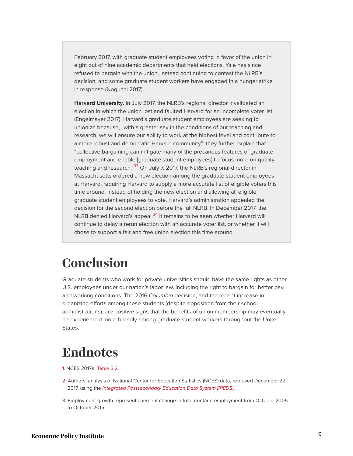February 2017, with graduate student employees voting in favor of the union in eight out of nine academic departments that held elections. Yale has since refused to bargain with the union, instead continuing to contest the NLRB's decision, and some graduate student workers have engaged in a hunger strike in response (Noguchi 2017).

<span id="page-9-5"></span>**Harvard University.** In July 2017, the NLRB's regional director invalidated an election in which the union lost and faulted Harvard for an incomplete voter list (Engelmayer 2017). Harvard's graduate student employees are seeking to unionize because, "with a greater say in the conditions of our teaching and research, we will ensure our ability to work at the highest level and contribute to a more robust and democratic Harvard community"; they further explain that "collective bargaining can mitigate many of the precarious features of graduate employment and enable [graduate student employees] to focus more on quality teaching and research."<sup>[33](#page-11-10)</sup> On July 7, 2017, the NLRB's regional director in Massachusetts ordered a new election among the graduate student employees at Harvard, requiring Harvard to supply a more accurate list of eligible voters this time around. Instead of holding the new election and allowing all eligible graduate student employees to vote, Harvard's administration appealed the decision for the second election before the full NLRB. In December 2017, the NLRB denied Harvard's appeal.<sup>[34](#page-11-11)</sup> It remains to be seen whether Harvard will continue to delay a rerun election with an accurate voter list, or whether it will chose to support a fair and free union election this time around.

## <span id="page-9-6"></span><span id="page-9-0"></span>**Conclusion**

Graduate students who work for private universities should have the same rights as other U.S. employees under our nation's labor law, including the right to bargain for better pay and working conditions. The 2016 *Columbia* decision, and the recent increase in organizing efforts among these students (despite opposition from their school administrations), are positive signs that the benefits of union membership may eventually be experienced more broadly among graduate student workers throughout the United **States** 

## <span id="page-9-1"></span>**Endnotes**

- <span id="page-9-2"></span>[1.](#page-1-1) NCES 2017a, [Table 3.2.](https://nces.ed.gov/datalab/tableslibrary/viewtable.aspx?tableid=9659)
- <span id="page-9-3"></span>[2.](#page-1-2) Authors' analysis of National Center for Education Statistics (NCES) data, retrieved December 22, 2017, using the *[Integrated Postsecondary Education Data System \(IPEDS\)](https://nces.ed.gov/ipeds/Home/UseTheData)*.
- <span id="page-9-4"></span>[3.](#page-1-3) Employment growth represents percent change in total nonfarm employment from October 2005 to October 2015.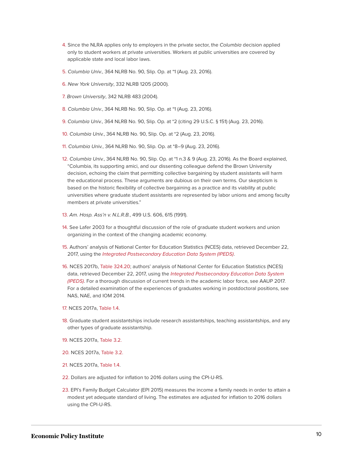- <span id="page-10-0"></span>[4.](#page-1-4) Since the NLRA applies only to employers in the private sector, the *Columbia* decision applied only to student workers at private universities. Workers at public universities are covered by applicable state and local labor laws.
- <span id="page-10-1"></span>[5.](#page-2-0) *Columbia Univ.*, 364 NLRB No. 90, Slip. Op. at \*1 (Aug. 23, 2016).
- <span id="page-10-2"></span>[6.](#page-2-1) *New York University*, 332 NLRB 1205 (2000).
- <span id="page-10-3"></span>[7.](#page-2-2) *Brown University*, 342 NLRB 483 (2004).
- <span id="page-10-4"></span>[8.](#page-2-3) *Columbia Univ.*, 364 NLRB No. 90, Slip. Op. at \*1 (Aug. 23, 2016).
- <span id="page-10-5"></span>[9.](#page-2-4) *Columbia Univ.*, 364 NLRB No. 90, Slip. Op. at \*2 (citing 29 U.S.C. § 151) (Aug. 23, 2016).
- <span id="page-10-6"></span>[10.](#page-2-5) *Columbia Univ.*, 364 NLRB No. 90, Slip. Op. at \*2 (Aug. 23, 2016).
- <span id="page-10-7"></span>[11.](#page-2-6) *Columbia Univ.*, 364 NLRB No. 90, Slip. Op. at \*8–9 (Aug. 23, 2016).
- <span id="page-10-8"></span>[12.](#page-2-7) *Columbia Univ.*, 364 NLRB No. 90, Slip. Op. at \*1 n.3 & 9 (Aug. 23, 2016). As the Board explained, "Columbia, its supporting amici, and our dissenting colleague defend the Brown University decision, echoing the claim that permitting collective bargaining by student assistants will harm the educational process. These arguments are dubious on their own terms. Our skepticism is based on the historic flexibility of collective bargaining as a practice and its viability at public universities where graduate student assistants are represented by labor unions and among faculty members at private universities."
- <span id="page-10-9"></span>[13.](#page-3-1) *Am. Hosp. Ass'n v. N.L.R.B.*, 499 U.S. 606, 615 (1991).
- <span id="page-10-10"></span>[14.](#page-3-2) See Lafer 2003 for a thoughtful discussion of the role of graduate student workers and union organizing in the context of the changing academic economy.
- <span id="page-10-11"></span>[15.](#page-3-3) Authors' analysis of National Center for Education Statistics (NCES) data, retrieved December 22, 2017, using the *[Integrated Postsecondary Education Data System \(IPEDS\)](https://nces.ed.gov/ipeds/Home/UseTheData)*.
- <span id="page-10-12"></span>[16.](#page-4-0) NCES 2017b, [Table 324.20;](https://nces.ed.gov/programs/digest/d16/tables/dt16_324.20.asp) authors' analysis of National Center for Education Statistics (NCES) data, retrieved December 22, 2017, using the *[Integrated Postsecondary Education Data System](https://nces.ed.gov/ipeds/Home/UseTheData) [\(IPEDS\)](https://nces.ed.gov/ipeds/Home/UseTheData)*. For a thorough discussion of current trends in the academic labor force, see AAUP 2017. For a detailed examination of the experiences of graduates working in postdoctoral positions, see NAS, NAE, and IOM 2014.
- <span id="page-10-13"></span>[17.](#page-5-1) NCES 2017a, [Table 1.4.](https://nces.ed.gov/datalab/tableslibrary/viewtable.aspx?tableid=9649)
- <span id="page-10-14"></span>[18.](#page-5-2) Graduate student assistantships include research assistantships, teaching assistantships, and any other types of graduate assistantship.
- <span id="page-10-15"></span>[19.](#page-5-2) NCES 2017a, [Table 3.2.](https://nces.ed.gov/datalab/tableslibrary/viewtable.aspx?tableid=9659)
- <span id="page-10-16"></span>[20.](#page-5-3) NCES 2017a, [Table 3.2.](https://nces.ed.gov/datalab/tableslibrary/viewtable.aspx?tableid=9659)
- <span id="page-10-17"></span>[21.](#page-5-4) NCES 2017a, [Table 1.4](https://nces.ed.gov/datalab/tableslibrary/viewtable.aspx?tableid=9649).
- <span id="page-10-18"></span>[22.](#page-6-1) Dollars are adjusted for inflation to 2016 dollars using the CPI-U-RS.
- <span id="page-10-19"></span>[23.](#page-6-2) EPI's Family Budget Calculator (EPI 2015) measures the income a family needs in order to attain a modest yet adequate standard of living. The estimates are adjusted for inflation to 2016 dollars using the CPI-U-RS.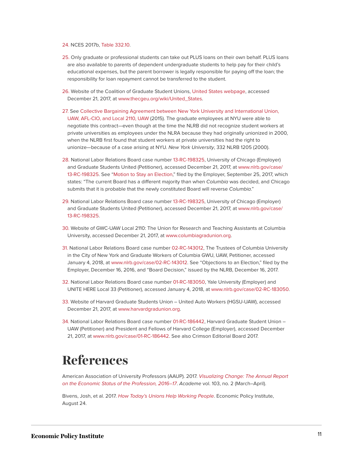#### <span id="page-11-1"></span>[24.](#page-6-3) NCES 2017b, [Table 332.10.](https://nces.ed.gov/programs/digest/d15/tables/dt15_332.10.asp)

- <span id="page-11-2"></span>[25.](#page-6-4) Only graduate or professional students can take out PLUS loans on their own behalf. PLUS loans are also available to parents of dependent undergraduate students to help pay for their child's educational expenses, but the parent borrower is legally responsible for paying off the loan; the responsibility for loan repayment cannot be transferred to the student.
- <span id="page-11-3"></span>[26.](#page-7-0) Website of the Coalition of Graduate Student Unions, [United States webpage,](http://www.thecgeu.org/wiki/United_States) accessed December 21, 2017, at [www.thecgeu.org/wiki/United\\_States](http://www.thecgeu.org/wiki/United_States).
- <span id="page-11-4"></span>[27.](#page-7-1) See [Collective Bargaining Agreement between New York University and International Union,](https://makingabetternyu.org/read-it/) [UAW, AFL-CIO, and Local 2110, UAW](https://makingabetternyu.org/read-it/) (2015). The graduate employees at NYU were able to negotiate this contract—even though at the time the NLRB did not recognize student workers at private universities as employees under the NLRA because they had originally unionized in 2000, when the NLRB first found that student workers at private universities had the right to unionize—because of a case arising at NYU. *New York University*, 332 NLRB 1205 (2000).
- <span id="page-11-5"></span>[28.](#page-8-0) National Labor Relations Board case number [13-RC-198325,](https://www.nlrb.gov/case/13-RC-198325) University of Chicago (Employer) and Graduate Students United (Petitioner), accessed December 21, 2017, at [www.nlrb.gov/case/](http://www.nlrb.gov/case/13-RC-198325) [13-RC-198325](http://www.nlrb.gov/case/13-RC-198325). See "[Motion to Stay an Election](https://provost.uchicago.edu/sites/default/files/CHICAGO%20-%20Motion%20to%20Stay.pdf)," filed by the Employer, September 25, 2017, which states: "The current Board has a different majority than when *Columbia* was decided, and Chicago submits that it is probable that the newly constituted Board will reverse *Columbia*."
- <span id="page-11-6"></span>[29.](#page-8-1) National Labor Relations Board case number [13-RC-198325,](https://www.nlrb.gov/case/13-RC-198325) University of Chicago (Employer) and Graduate Students United (Petitioner), accessed December 21, 2017, at [www.nlrb.gov/case/](http://www.nlrb.gov/case/13-RC-198325) [13-RC-198325](http://www.nlrb.gov/case/13-RC-198325).
- <span id="page-11-7"></span>[30.](#page-8-2) Website of GWC-UAW Local 2110: The Union for Research and Teaching Assistants at Columbia University, accessed December 21, 2017, at [www.columbiagradunion.org](http://www.columbiagradunion.org/).
- <span id="page-11-8"></span>[31.](#page-8-3) National Labor Relations Board case number [02-RC-143012,](https://www.nlrb.gov/case/02-RC-143012) The Trustees of Columbia University in the City of New York and Graduate Workers of Columbia GWU, UAW, Petitioner, accessed January 4, 2018, at [www.nlrb.gov/case/02-RC-143012.](https://www.nlrb.gov/case/02-RC-143012) See "Objections to an Election," filed by the Employer, December 16, 2016, and "Board Decision," issued by the NLRB, December 16, 2017.
- <span id="page-11-9"></span>[32.](#page-8-4) National Labor Relations Board case number [01-RC-183050,](https://www.nlrb.gov/case/01-RC-183050) Yale University (Employer) and UNITE HERE Local 33 (Petitioner), accessed January 4, 2018, at [www.nlrb.gov/case/02-RC-183050](https://www.nlrb.gov/case/01-RC-183050).
- <span id="page-11-10"></span>[33.](#page-9-5) Website of Harvard Graduate Students Union – United Auto Workers (HGSU-UAW), accessed December 21, 2017, at [www.harvardgradunion.org](http://www.harvardgradunion.org/).
- <span id="page-11-11"></span>[34.](#page-9-6) National Labor Relations Board case number [01-RC-186442,](https://www.nlrb.gov/case/01-RC-186442) Harvard Graduate Student Union – UAW (Petitioner) and President and Fellows of Harvard College (Employer), accessed December 21, 2017, at [www.nlrb.gov/case/01-RC-186442](http://nlrb.gov/case/01-RC-186442). See also Crimson Editorial Board 2017.

## <span id="page-11-0"></span>**References**

American Association of University Professors (AAUP). 2017. *[Visualizing Change: The Annual Report](https://www.aaup.org/file/FCS_2016-17_nc.pdf) [on the Economic Status of the Profession, 2016–17](https://www.aaup.org/file/FCS_2016-17_nc.pdf)*. *Academe* vol. 103, no. 2 (March–April).

Bivens, Josh, et al. 2017. *[How Today's Unions Help Working People](http://www.epi.org/publication/how-todays-unions-help-working-people-giving-workers-the-power-to-improve-their-jobs-and-unrig-the-economy/)*. Economic Policy Institute, August 24.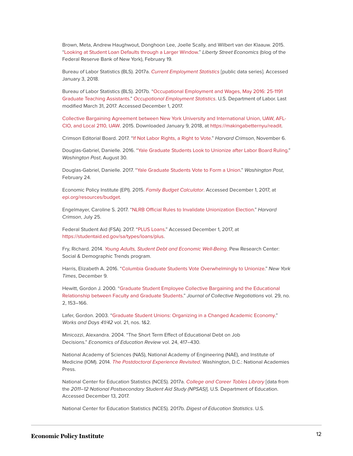Brown, Meta, Andrew Haughwout, Donghoon Lee, Joelle Scally, and Wilbert van der Klaauw. 2015. "[Looking at Student Loan Defaults through a Larger Window.](http://libertystreeteconomics.newyorkfed.org/2015/02/looking_at_student_loan_defaults_through_a_larger_window.html#.VVtLRJPrNtE)" *Liberty Street Economics* (blog of the Federal Reserve Bank of New York), February 19.

Bureau of Labor Statistics (BLS). 2017a. *[Current Employment Statistics](https://www.bls.gov/ces/data.htm)* [public data series]. Accessed January 3, 2018.

Bureau of Labor Statistics (BLS). 2017b. ["Occupational Employment and Wages, May 2016: 25-1191](https://www.bls.gov/oes/current/oes251191.htm) [Graduate Teaching Assistants.](https://www.bls.gov/oes/current/oes251191.htm)" *[Occupational Employment Statistics](https://www.bls.gov/oes/home.htm)*. U.S. Department of Labor. Last modified March 31, 2017. Accessed December 1, 2017.

[Collective Bargaining Agreement between New York University and International Union, UAW, AFL-](https://makingabetternyu/readit)[CIO, and Local 2110, UAW](https://makingabetternyu/readit). 2015. Downloaded January 9, 2018, at <https://makingabetternyu/readit>.

Crimson Editorial Board. 2017. "[If Not Labor Rights, a Right to Vote](http://www.thecrimson.com/article/2017/11/6/editorial-NLRB-appeal/)." *Harvard Crimson*, November 6.

Douglas-Gabriel, Danielle. 2016. "[Yale Graduate Students Look to Unionize after Labor Board Ruling](https://www.washingtonpost.com/news/grade-point/wp/2016/08/30/yale-graduate-students-look-to-unionize-after-nlrb-ruling/)." *Washington Post*, August 30.

Douglas-Gabriel, Danielle. 2017. ["Yale Graduate Students Vote to Form a Union.](https://www.washingtonpost.com/news/grade-point/wp/2017/02/24/yale-graduate-students-vote-to-form-a-union/)" *Washington Post*, February 24.

Economic Policy Institute (EPI). 2015. *[Family Budget Calculator](http://www.epi.org/resources/budget/)*. Accessed December 1, 2017, at [epi.org/resources/budget](http://www.epi.org/resources/budget/).

Engelmayer, Caroline S. 2017. ["NLRB Official Rules to Invalidate Unionization Election](http://www.thecrimson.com/article/2017/7/25/NLRB-ruling-july/)." *Harvard Crimson*, July 25.

Federal Student Aid (FSA). 2017. ["PLUS Loans.](https://studentaid.ed.gov/sa/types/loans/plus)" Accessed December 1, 2017, at [https://studentaid.ed.gov/sa/types/loans/plus.](https://studentaid.ed.gov/sa/types/loans/plus)

Fry, Richard. 2014. *[Young Adults, Student Debt and Economic Well-Being](http://www.pewsocialtrends.org/files/2014/05/ST_2014.05.14_student-debt_complete-report.pdf)*. Pew Research Center: Social & Demographic Trends program.

Harris, Elizabeth A. 2016. ["Columbia Graduate Students Vote Overwhelmingly to Unionize](https://www.nytimes.com/2016/12/09/nyregion/columbia-graduate-students-union-vote.html?_r=0)." *New York Times*, December 9.

Hewitt, Gordon J. 2000. "[Graduate Student Employee Collective Bargaining and the Educational](https://pdfs.semanticscholar.org/3f63/3217bea4b36e7fbd03b26d305eba76e9e224.pdf) [Relationship between Faculty and Graduate Students](https://pdfs.semanticscholar.org/3f63/3217bea4b36e7fbd03b26d305eba76e9e224.pdf)." *Journal of Collective Negotiations* vol. 29, no. 2, 153–166.

Lafer, Gordon. 2003. "[Graduate Student Unions: Organizing in a Changed Academic Economy](http://worksanddays.net/2003/File10.Lafer_File10.Lafer.pdf)." *Works and Days 41/42* vol. 21, nos. 1&2.

Minicozzi, Alexandra. 2004. "The Short Term Effect of Educational Debt on Job Decisions." *Economics of Education Review* vol. 24, 417–430.

National Academy of Sciences (NAS), National Academy of Engineering (NAE), and Institute of Medicine (IOM). 2014. *[The Postdoctoral Experience Revisited](https://www.nap.edu/read/18982/chapter/1)*. Washington, D.C.: National Academies Press.

National Center for Education Statistics (NCES). 2017a. *[College and Career Tables Library](https://nces.ed.gov/datalab/tableslibrary/home.aspx)* [data from the *2011–12 National Postsecondary Student Aid Study (NPSAS)*]. U.S. Department of Education. Accessed December 13, 2017.

National Center for Education Statistics (NCES). 2017b. *Digest of Education Statistics*. U.S.